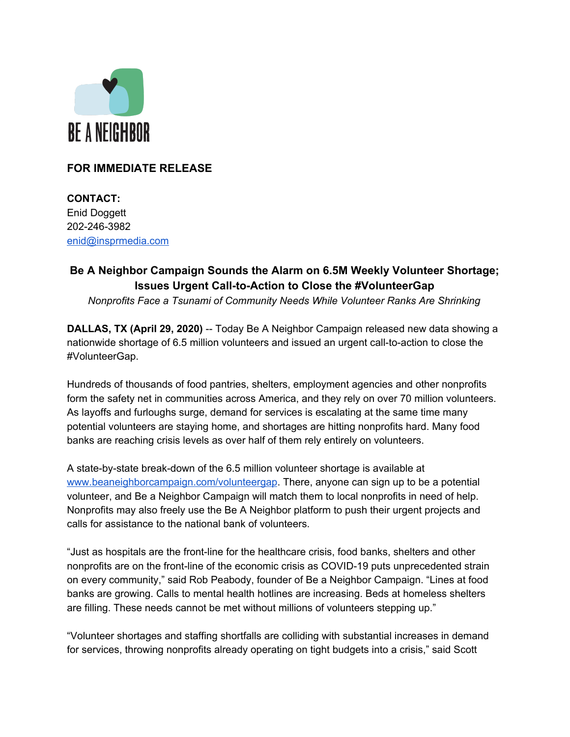

## **FOR IMMEDIATE RELEASE**

**CONTACT:** Enid Doggett 202-246-3982 [enid@insprmedia.com](mailto:enid@insprmedia.com)

# **Be A Neighbor Campaign Sounds the Alarm on 6.5M Weekly Volunteer Shortage; Issues Urgent Call-to-Action to Close the #VolunteerGap**

*Nonprofits Face a Tsunami of Community Needs While Volunteer Ranks Are Shrinking*

**DALLAS, TX (April 29, 2020)** -- Today Be A Neighbor Campaign released new data showing a nationwide shortage of 6.5 million volunteers and issued an urgent call-to-action to close the #VolunteerGap.

Hundreds of thousands of food pantries, shelters, employment agencies and other nonprofits form the safety net in communities across America, and they rely on over 70 million volunteers. As layoffs and furloughs surge, demand for services is escalating at the same time many potential volunteers are staying home, and shortages are hitting nonprofits hard. Many food banks are reaching crisis levels as over half of them rely entirely on volunteers.

A state-by-state break-down of the 6.5 million volunteer shortage is available at [www.beaneighborcampaign.com/volunteergap](http://www.beaneighborcampaign.com/volunteergap). There, anyone can sign up to be a potential volunteer, and Be a Neighbor Campaign will match them to local nonprofits in need of help. Nonprofits may also freely use the Be A Neighbor platform to push their urgent projects and calls for assistance to the national bank of volunteers.

"Just as hospitals are the front-line for the healthcare crisis, food banks, shelters and other nonprofits are on the front-line of the economic crisis as COVID-19 puts unprecedented strain on every community," said Rob Peabody, founder of Be a Neighbor Campaign. "Lines at food banks are growing. Calls to mental health hotlines are increasing. Beds at homeless shelters are filling. These needs cannot be met without millions of volunteers stepping up."

"Volunteer shortages and staffing shortfalls are colliding with substantial increases in demand for services, throwing nonprofits already operating on tight budgets into a crisis," said Scott